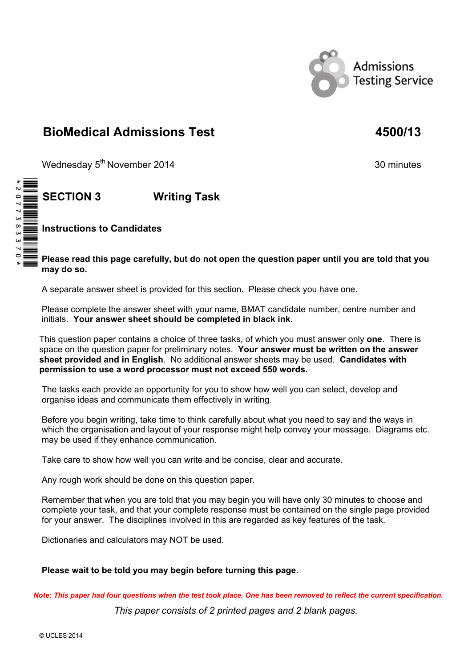

# **BioMedical Admissions Test 4500/13**

Wednesday 5<sup>th</sup> November 2014 30 minutes

 $\, \tilde{=}$ 

 **SECTION 3 Writing Task** 

 **Instructions to Candidates** 

 **Please read this page carefully, but do not open the question paper until you are told that you may do so.**

A separate answer sheet is provided for this section. Please check you have one.

 Please complete the answer sheet with your name, BMAT candidate number, centre number and initials. **Your answer sheet should be completed in black ink.**

This question paper contains a choice of three tasks, of which you must answer only **one**. There is space on the question paper for preliminary notes. **Your answer must be written on the answer sheet provided and in English**. No additional answer sheets may be used. **Candidates with permission to use a word processor must not exceed 550 words.** 

 The tasks each provide an opportunity for you to show how well you can select, develop and organise ideas and communicate them effectively in writing.

 Before you begin writing, take time to think carefully about what you need to say and the ways in which the organisation and layout of your response might help convey your message. Diagrams etc. may be used if they enhance communication.

Take care to show how well you can write and be concise, clear and accurate.

Any rough work should be done on this question paper.

 Remember that when you are told that you may begin you will have only 30 minutes to choose and complete your task, and that your complete response must be contained on the single page provided for your answer. The disciplines involved in this are regarded as key features of the task.

Dictionaries and calculators may NOT be used.

## **Please wait to be told you may begin before turning this page.**

*Note: This paper had four questions when the test took place. One has been removed to reflect the current specification.*

*This paper consists of 2 printed pages and 2 blank pages.*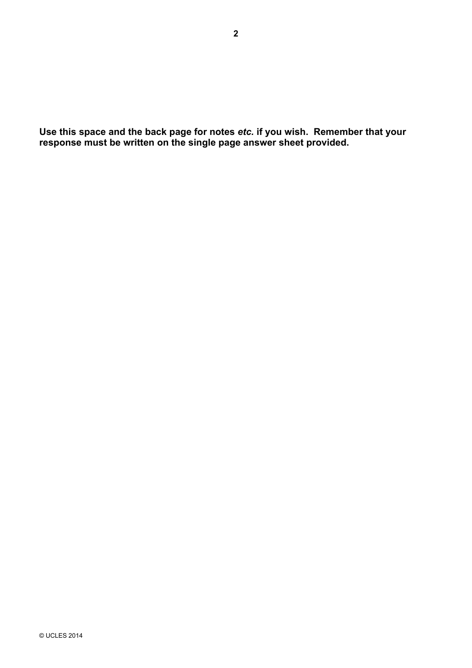**Use this space and the back page for notes** *etc.* **if you wish. Remember that your response must be written on the single page answer sheet provided.**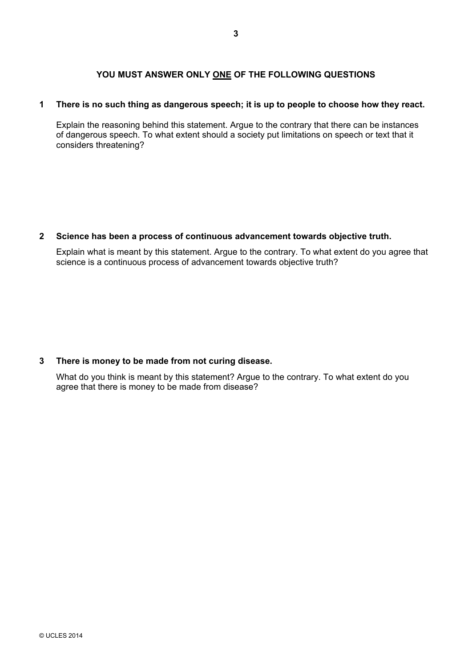## YOU MUST ANSWER ONLY ONE OF THE FOLLOWING QUESTIONS

#### **1 There is no such thing as dangerous speech; it is up to people to choose how they react.**

Explain the reasoning behind this statement. Argue to the contrary that there can be instances of dangerous speech. To what extent should a society put limitations on speech or text that it considers threatening?

#### **2 Science has been a process of continuous advancement towards objective truth.**

Explain what is meant by this statement. Argue to the contrary. To what extent do you agree that science is a continuous process of advancement towards objective truth?

### **3 There is money to be made from not curing disease.**

What do you think is meant by this statement? Argue to the contrary. To what extent do you agree that there is money to be made from disease?